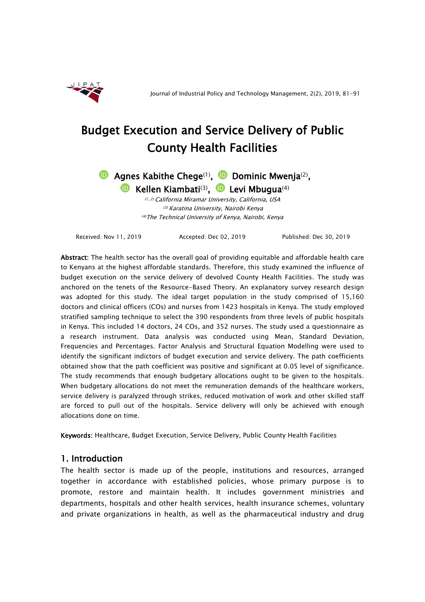

# Budget Execution and Service Delivery of Public County Health Facilities

**D**Agnes Kabithe Chege<sup>(1)</sup>, **D** Dominic Mwenja<sup>(2)</sup>, **D** Kellen Kiambati<sup>(3)</sup>, **D** Levi Mbugua<sup>(4)</sup>

> (1, 2) California Miramar University, California, USA (3) Karatina University, Nairobi Kenya (4)The Technical University of Kenya, Nairobi, Kenya

Received: Nov 11, 2019 Accepted: Dec 02, 2019 Published: Dec 30, 2019

Abstract: The health sector has the overall goal of providing equitable and affordable health care to Kenyans at the highest affordable standards. Therefore, this study examined the influence of budget execution on the service delivery of devolved County Health Facilities. The study was anchored on the tenets of the Resource-Based Theory. An explanatory survey research design was adopted for this study. The ideal target population in the study comprised of 15,160 doctors and clinical officers (COs) and nurses from 1423 hospitals in Kenya. The study employed stratified sampling technique to select the 390 respondents from three levels of public hospitals in Kenya. This included 14 doctors, 24 COs, and 352 nurses. The study used a questionnaire as a research instrument. Data analysis wаs conducted using Mean, Standard Deviation, Frequencies and Percentages. Factor Analysis and Structural Equation Modelling were used to identify the significant indictors of budget execution and service delivery. The path coefficients obtained show that the path coefficient was positive and significant at 0.05 level of significance. The study recommends that enough budgetary allocations ought to be given to the hospitals. When budgetary allocations do not meet the remuneration demands of the healthcare workers, service delivery is paralyzed through strikes, reduced motivation of work and other skilled staff are forced to pull out of the hospitals. Service delivery will only be achieved with enough allocations done on time.

Keywords: Healthcare, Budget Execution, Service Delivery, Public County Health Facilities

# 1. Introduction

The health sector is made up of the people, institutions and resources, arranged together in accordance with established policies, whose primary purpose is to promote, restore and maintain health. It includes government ministries and departments, hospitals and other health services, health insurance schemes, voluntary and private organizations in health, as well as the pharmaceutical industry and drug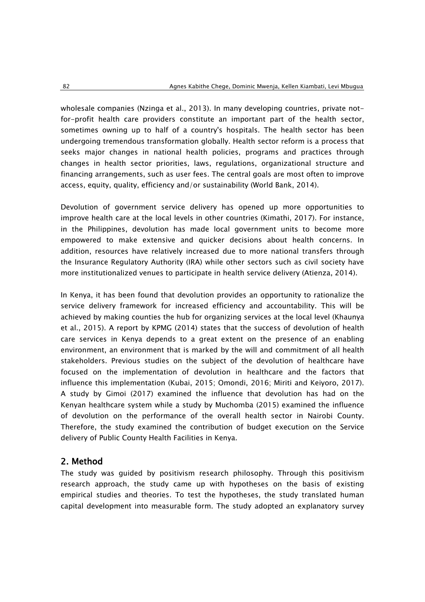wholesale companies (Nzinga et al., 2013). In many developing countries, private notfor-profit health care providers constitute an important part of the health sector, sometimes owning up to half of a country's hospitals. The health sector has been undergoing tremendous transformation globally. Health sector reform is a process that seeks major changes in national health policies, programs and practices through changes in health sector priorities, laws, regulations, organizational structure and financing arrangements, such as user fees. The central goals are most often to improve access, equity, quality, efficiency and/or sustainability (World Bank, 2014).

Devolution of government service delivery has opened up more opportunities to improve health care at the local levels in other countries (Kimathi, 2017). For instance, in the Philippines, devolution has made local government units to become more empowered to make extensive and quicker decisions about health concerns. In addition, resources have relatively increased due to more national transfers through the Insurance Regulatory Authority (IRA) while other sectors such as civil society have more institutionalized venues to participate in health service delivery (Atienza, 2014).

In Kenya, it has been found that devolution provides an opportunity to rationalize the service delivery framework for increased efficiency and accountability. This will be achieved by making counties the hub for organizing services at the local level (Khaunya et al., 2015). A report by KPMG (2014) states that the success of devolution of health care services in Kenya depends to a great extent on the presence of an enabling environment, an environment that is marked by the will and commitment of all health stakeholders. Previous studies on the subject of the devolution of healthcare have focused on the implementation of devolution in healthcare and the factors that influence this implementation (Kubai, 2015; Omondi, 2016; Miriti and Keiyoro, 2017). A study by Gimoi (2017) examined the influence that devolution has had on the Kenyan healthcare system while a study by Muchomba (2015) examined the influence of devolution on the performance of the overall health sector in Nairobi County. Therefore, the study examined the contribution of budget execution on the Service delivery of Public County Health Facilities in Kenya.

# 2. Method

The study was guided by positivism research philosophy. Through this positivism research approach, the study came up with hypotheses on the basis of existing empirical studies and theories. To test the hypotheses, the study translated human capital development into measurable form. The study adopted an explanatory survey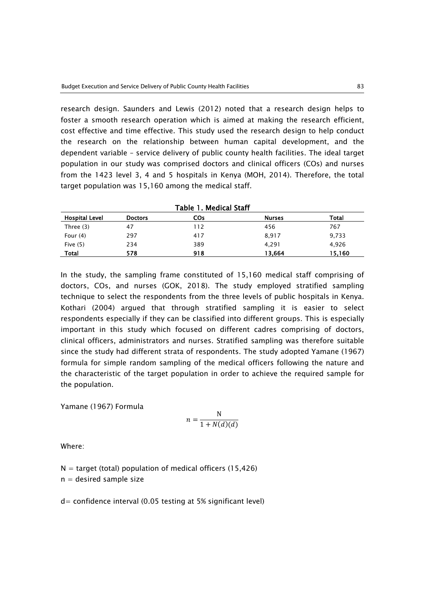research design. Saunders and Lewis (2012) noted that a research design helps to foster a smooth research operation which is aimed at making the research efficient, cost effective and time effective. This study used the research design to help conduct the research on the relationship between human capital development, and the dependent variable – service delivery of public county health facilities. The ideal target population in our study was comprised doctors and clinical officers (COs) and nurses from the 1423 level 3, 4 and 5 hospitals in Kenya (MOH, 2014). Therefore, the total target population was 15,160 among the medical staff.

|                       |                | Table 1. Medical Staff |               |        |
|-----------------------|----------------|------------------------|---------------|--------|
| <b>Hospital Level</b> | <b>Doctors</b> | COs                    | <b>Nurses</b> | Total  |
| Three (3)             | 47             | 112                    | 456           | 767    |
| Four $(4)$            | 297            | 417                    | 8,917         | 9,733  |
| Five $(5)$            | 234            | 389                    | 4.291         | 4,926  |
| <b>Total</b>          | 578            | 918                    | 13.664        | 15,160 |

In the study, the sampling frame constituted of 15,160 medical staff comprising of doctors, COs, and nurses (GOK, 2018). The study employed stratified sampling technique to select the respondents from the three levels of public hospitals in Kenya. Kothari (2004) argued that through stratified sampling it is easier to select respondents especially if they can be classified into different groups. This is especially important in this study which focused on different cadres comprising of doctors, clinical officers, administrators and nurses. Stratified sampling was therefore suitable since the study had different strata of respondents. The study adopted Yamane (1967) formula for simple random sampling of the medical officers following the nature and the characteristic of the target population in order to achieve the required sample for the population.

Yamane (1967) Formula

$$
n = \frac{N}{1 + N(d)(d)}
$$

Where:

 $N =$  target (total) population of medical officers (15,426)

 $n =$  desired sample size

d= confidence interval (0.05 testing at 5% significant level)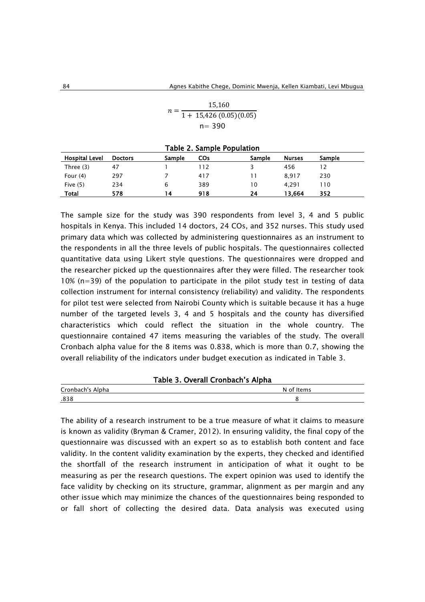| $n =$ | 15,160                   |
|-------|--------------------------|
|       | $1 + 15,426(0.05)(0.05)$ |
|       | $n = 390$                |

| Table 2. Sample Population |                |        |     |        |               |        |
|----------------------------|----------------|--------|-----|--------|---------------|--------|
| <b>Hospital Level</b>      | <b>Doctors</b> | Sample | COs | Sample | <b>Nurses</b> | Sample |
| Three (3)                  | 47             |        | 112 |        | 456           | 12     |
| Four $(4)$                 | 297            |        | 417 | 11     | 8.917         | 230    |
| Five $(5)$                 | 234            | 6      | 389 | 10     | 4.291         | 110    |
| Total                      | 578            | 14     | 918 | 24     | 13.664        | 352    |

The sample size for the study was 390 respondents from level 3, 4 and 5 public hospitals in Kenya. This included 14 doctors, 24 COs, and 352 nurses. This study used primary data which was collected by administering questionnaires as an instrument to the respondents in all the three levels of public hospitals. The questionnaires collected quantitative data using Likert style questions. The questionnaires were dropped and the researcher picked up the questionnaires after they were filled. The researcher took  $10\%$  (n=39) of the population to participate in the pilot study test in testing of data collection instrument for internal consistency (reliability) and validity. The respondents for pilot test were selected from Nairobi County which is suitable because it has a huge number of the targeted levels 3, 4 and 5 hospitals and the county has diversified characteristics which could reflect the situation in the whole country. The questionnaire contained 47 items measuring the variables of the study. The overall Cronbach alpha value for the 8 items was 0.838, which is more than 0.7, showing the overall reliability of the indicators under budget execution as indicated in Table 3.

|  | Table 3. Overall Cronbach's Alpha |  |
|--|-----------------------------------|--|
|  |                                   |  |

| Cronbach's Alpha | Items<br>N<br>∩t |
|------------------|------------------|
| .838             |                  |

The ability of a research instrument to be a true measure of what it claims to measure is known as validity (Bryman & Cramer, 2012). In ensuring validity, the final copy of the questionnaire was discussed with an expert so as to establish both content and face validity. In the content validity examination by the experts, they checked and identified the shortfall of the research instrument in anticipation of what it ought to be measuring as per the research questions. The expert opinion was used to identify the face validity by checking on its structure, grammar, alignment as per margin and any other issue which may minimize the chances of the questionnaires being responded to or fall short of collecting the desired data. Data analysis was executed using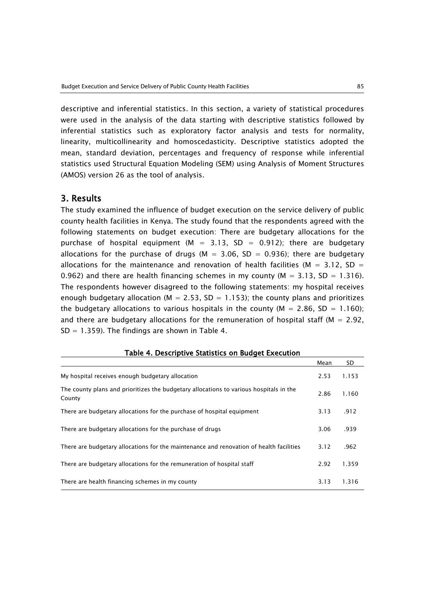descriptive and inferential statistics. In this section, a variety of statistical procedures were used in the analysis of the data starting with descriptive statistics followed by inferential statistics such as exploratory factor analysis and tests for normality, linearity, multicollinearity and homoscedasticity. Descriptive statistics adopted the mean, standard deviation, percentages and frequency of response while inferential statistics used Structural Equation Modeling (SEM) using Analysis of Moment Structures (AMOS) version 26 as the tool of analysis.

### 3. Results

The study examined the influence of budget execution on the service delivery of public county health facilities in Kenya. The study found that the respondents agreed with the following statements on budget execution: There are budgetary allocations for the purchase of hospital equipment (M = 3.13, SD = 0.912); there are budgetary allocations for the purchase of drugs ( $M = 3.06$ , SD = 0.936); there are budgetary allocations for the maintenance and renovation of health facilities ( $M = 3.12$ , SD = 0.962) and there are health financing schemes in my county ( $M = 3.13$ , SD = 1.316). The respondents however disagreed to the following statements: my hospital receives enough budgetary allocation ( $M = 2.53$ , SD = 1.153); the county plans and prioritizes the budgetary allocations to various hospitals in the county ( $M = 2.86$ , SD = 1.160); and there are budgetary allocations for the remuneration of hospital staff ( $M = 2.92$ ,  $SD = 1.359$ ). The findings are shown in Table 4.

|                                                                                                  | Mean | SD    |
|--------------------------------------------------------------------------------------------------|------|-------|
| My hospital receives enough budgetary allocation                                                 | 2.53 | 1.153 |
| The county plans and prioritizes the budgetary allocations to various hospitals in the<br>County | 2.86 | 1.160 |
| There are budgetary allocations for the purchase of hospital equipment                           | 3.13 | .912  |
| There are budgetary allocations for the purchase of drugs                                        | 3.06 | .939  |
| There are budgetary allocations for the maintenance and renovation of health facilities          | 3.12 | .962  |
| There are budgetary allocations for the remuneration of hospital staff                           | 2.92 | 1.359 |
| There are health financing schemes in my county                                                  | 3.13 | 1.316 |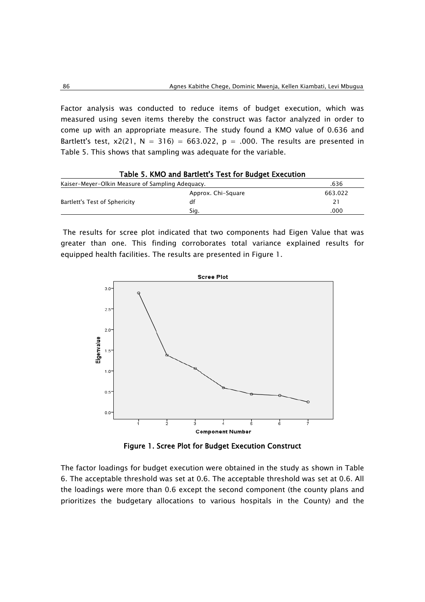Factor analysis was conducted to reduce items of budget execution, which was measured using seven items thereby the construct was factor analyzed in order to come up with an appropriate measure. The study found a KMO value of 0.636 and Bartlett's test,  $x2(21, N = 316) = 663.022$ ,  $p = .000$ . The results are presented in Table 5. This shows that sampling was adequate for the variable.

| Kaiser-Meyer-Olkin Measure of Sampling Adequacy. | .636                                                  |
|--------------------------------------------------|-------------------------------------------------------|
| Approx. Chi-Square                               | 663.022                                               |
| df                                               | 21                                                    |
| Sig.                                             | .000                                                  |
|                                                  | Table 5. KMO and Bartlett's Test for Budget Execution |

The results for scree plot indicated that two components had Eigen Value that was greater than one. This finding corroborates total variance explained results for equipped health facilities. The results are presented in Figure 1.



Figure 1. Scree Plot for Budget Execution Construct

The factor loadings for budget execution were obtained in the study as shown in Table 6. The acceptable threshold was set at 0.6. The acceptable threshold was set at 0.6. All the loadings were more than 0.6 except the second component (the county plans and prioritizes the budgetary allocations to various hospitals in the County) and the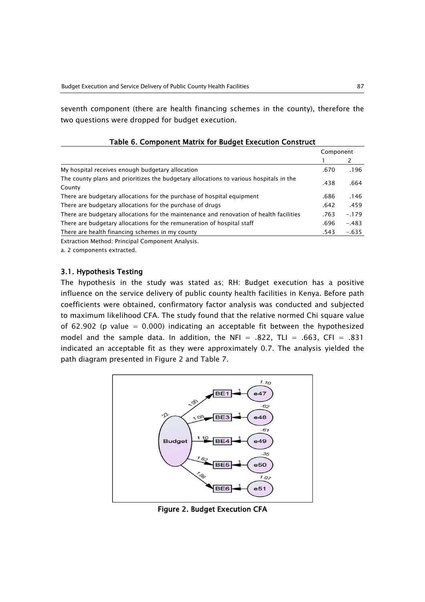seventh component (there are health financing schemes in the county), therefore the two questions were dropped for budget execution.

|                                                                                                  | Component |         |
|--------------------------------------------------------------------------------------------------|-----------|---------|
|                                                                                                  |           |         |
| My hospital receives enough budgetary allocation                                                 | .670      | .196    |
| The county plans and prioritizes the budgetary allocations to various hospitals in the<br>County | .438      | .664    |
| There are budgetary allocations for the purchase of hospital equipment                           | .686      | .146    |
| There are budgetary allocations for the purchase of drugs                                        | .642      | .459    |
| There are budgetary allocations for the maintenance and renovation of health facilities          | .763      | $-.179$ |
| There are budgetary allocations for the remuneration of hospital staff                           | .696      | $-.483$ |
| There are health financing schemes in my county                                                  | .543      | $-.635$ |
| Extraction Mothod: Dringinal Component Anglycic                                                  |           |         |

## Table 6. Component Matrix for Budget Execution Construct

Extraction Method: Principal Component Analysis.

a. 2 components extracted.

#### 3.1. Hypothesis Testing

The hypothesis in the study was stated as; RH: Budget execution has a positive influence on the service delivery of public county health facilities in Kenya. Before path coefficients were obtained, confirmatory factor analysis was conducted and subjected to maximum likelihood CFA. The study found that the relative normed Chi square value of 62.902 (p value =  $0.000$ ) indicating an acceptable fit between the hypothesized model and the sample data. In addition, the NFI =  $.822$ , TLI =  $.663$ , CFI =  $.831$ indicated an acceptable fit as they were approximately 0.7. The analysis yielded the path diagram presented in Figure 2 and Table 7.



Figure 2. Budget Execution CFA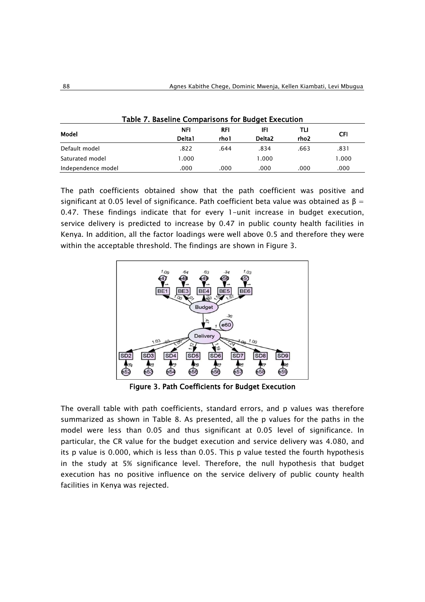| Table 7. Baseline Comparisons for Budget Execution |        |                     |                    |                  |       |  |
|----------------------------------------------------|--------|---------------------|--------------------|------------------|-------|--|
| Model                                              | NFI    | <b>RFI</b><br>rho l | IFI                | TLI              | CFI   |  |
|                                                    | Delta1 |                     | Delta <sub>2</sub> | rho <sub>2</sub> |       |  |
| Default model                                      | .822   | .644                | .834               | .663             | .831  |  |
| Saturated model                                    | 1.000  |                     | 000. ا             |                  | 1.000 |  |
| Independence model                                 | .000   | .000                | .000               | .000             | .000  |  |

The path coefficients obtained show that the path coefficient was positive and significant at 0.05 level of significance. Path coefficient beta value was obtained as  $\beta =$ 0.47. These findings indicate that for every 1-unit increase in budget execution, service delivery is predicted to increase by 0.47 in public county health facilities in Kenya. In addition, all the factor loadings were well above 0.5 and therefore they were within the acceptable threshold. The findings are shown in Figure 3.



Figure 3. Path Coefficients for Budget Execution

The overall table with path coefficients, standard errors, and p values was therefore summarized as shown in Table 8. As presented, all the p values for the paths in the model were less than 0.05 and thus significant at 0.05 level of significance. In particular, the CR value for the budget execution and service delivery was 4.080, and its p value is 0.000, which is less than 0.05. This p value tested the fourth hypothesis in the study at 5% significance level. Therefore, the null hypothesis that budget execution has no positive influence on the service delivery of public county health facilities in Kenya was rejected.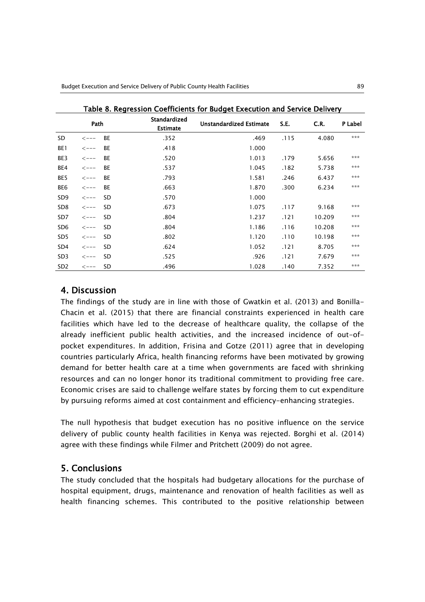|                                         | rable o. Regression Coemicients for budget execution and service Delivery |           |                                |       |      |         |     |
|-----------------------------------------|---------------------------------------------------------------------------|-----------|--------------------------------|-------|------|---------|-----|
| Standardized<br>Path<br><b>Estimate</b> |                                                                           |           | <b>Unstandardized Estimate</b> | S.E.  | C.R. | P Label |     |
| SD                                      | $\lt$ ---                                                                 | <b>BE</b> | .352                           | .469  | .115 | 4.080   | *** |
| BE1                                     | $\lt$ ---                                                                 | BE        | .418                           | 1.000 |      |         |     |
| BE3                                     | $\lt$ ---                                                                 | <b>BE</b> | .520                           | 1.013 | .179 | 5.656   | *** |
| BE4                                     | $\leftarrow$ - - -                                                        | <b>BE</b> | .537                           | 1.045 | .182 | 5.738   | *** |
| BE5                                     | $\leftarrow$ --                                                           | <b>BE</b> | .793                           | 1.581 | .246 | 6.437   | *** |
| BE6                                     | $\lt$ ---                                                                 | <b>BE</b> | .663                           | 1.870 | .300 | 6.234   | *** |
| SD <sub>9</sub>                         | $\leftarrow$ --                                                           | SD.       | .570                           | 1.000 |      |         |     |
| SD <sub>8</sub>                         | $\lt$ ---                                                                 | <b>SD</b> | .673                           | 1.075 | .117 | 9.168   | *** |
| SD7                                     | $\leftarrow$ --                                                           | SD.       | .804                           | 1.237 | .121 | 10.209  | *** |
| SD <sub>6</sub>                         | $\leftarrow$ --                                                           | SD.       | .804                           | 1.186 | .116 | 10.208  | *** |
| SD <sub>5</sub>                         | $\leftarrow$ --                                                           | <b>SD</b> | .802                           | 1.120 | .110 | 10.198  | *** |
| SD4                                     | $\lt$ ---                                                                 | <b>SD</b> | .624                           | 1.052 | .121 | 8.705   | *** |
| SD <sub>3</sub>                         | $\lt$ ---                                                                 | SD.       | .525                           | .926  | .121 | 7.679   | *** |
| SD <sub>2</sub>                         | $\leftarrow$ --                                                           | SD        | .496                           | 1.028 | .140 | 7.352   | *** |

Table 8. Regression Coefficients for Budget Execution and Service Delivery

## 4. Discussion

The findings of the study are in line with those of Gwatkin et al. (2013) and Bonilla-Chacin et al. (2015) that there are financial constraints experienced in health care facilities which have led to the decrease of healthcare quality, the collapse of the already inefficient public health activities, and the increased incidence of out-ofpocket expenditures. In addition, Frisina and Gotze (2011) agree that in developing countries particularly Africa, health financing reforms have been motivated by growing demand for better health care at a time when governments are faced with shrinking resources and can no longer honor its traditional commitment to providing free care. Economic crises are said to challenge welfare states by forcing them to cut expenditure by pursuing reforms aimed at cost containment and efficiency-enhancing strategies.

The null hypothesis that budget execution has no positive influence on the service delivery of public county health facilities in Kenya was rejected. Borghi et al. (2014) agree with these findings while Filmer and Pritchett (2009) do not agree.

# 5. Conclusions

The study concluded that the hospitals had budgetary allocations for the purchase of hospital equipment, drugs, maintenance and renovation of health facilities as well as health financing schemes. This contributed to the positive relationship between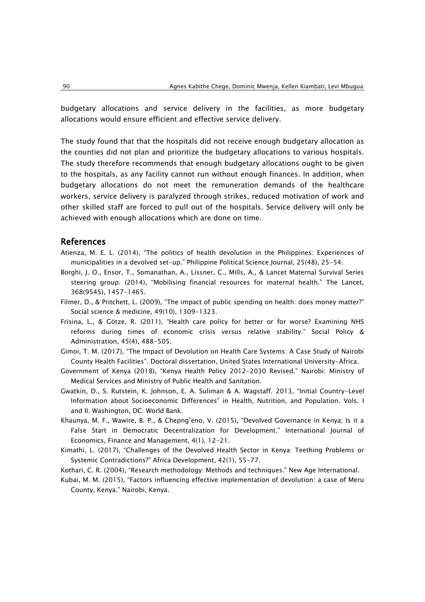budgetary allocations and service delivery in the facilities, as more budgetary allocations would ensure efficient and effective service delivery.

The study found that that the hospitals did not receive enough budgetary allocation as the counties did not plan and prioritize the budgetary allocations to various hospitals. The study therefore recommends that enough budgetary allocations ought to be given to the hospitals, as any facility cannot run without enough finances. In addition, when budgetary allocations do not meet the remuneration demands of the healthcare workers, service delivery is paralyzed through strikes, reduced motivation of work and other skilled staff are forced to pull out of the hospitals. Service delivery will only be achieved with enough allocations which are done on time.

#### References

- Atienza, M. E. L. (2014), "The politics of health devolution in the Philippines: Experiences of municipalities in a devolved set-up." Philippine Political Science Journal, 25(48), 25-54.
- Borghi, J. O., Ensor, T., Somanathan, A., Lissner, C., Mills, A., & Lancet Maternal Survival Series steering group. (2014), "Mobilising financial resources for maternal health." The Lancet, 368(9545), 1457-1465.
- Filmer, D., & Pritchett, L. (2009), "The impact of public spending on health: does money matter?" Social science & medicine, 49(10), 1309-1323.
- Frisina, L., & Götze, R. (2011), "Health care policy for better or for worse? Examining NHS reforms during times of economic crisis versus relative stability." Social Policy & Administration, 45(4), 488-505.
- Gimoi, T. M. (2017), "The Impact of Devolution on Health Care Systems: A Case Study of Nairobi County Health Facilities". Doctoral dissertation, United States International University-Africa.
- Government of Kenya (2018), "Kenya Health Policy 2012-2030 Revised." Nairobi: Ministry of Medical Services and Ministry of Public Health and Sanitation.
- Gwatkin, D., S. Rutstein, K. Johnson, E. A. Suliman & A. Wagstaff. 2013, "Initial Country-Level Information about Socioeconomic Differences" in Health, Nutrition, and Population. Vols. I and II. Washington, DC: World Bank.
- Khaunya, M. F., Wawire, B. P., & Chepng'eno, V. (2015), "Devolved Governance in Kenya; Is it a False Start in Democratic Decentralization for Development." International Journal of Economics, Finance and Management, 4(1), 12-21.
- Kimathi, L. (2017), "Challenges of the Devolved Health Sector in Kenya: Teething Problems or Systemic Contradictions?" Africa Development, 42(1), 55-77.
- Kothari, C. R. (2004), "Research methodology: Methods and techniques." New Age International.
- Kubai, M. M. (2015), "Factors influencing effective implementation of devolution: a case of Meru County, Kenya." Nairobi, Kenya.